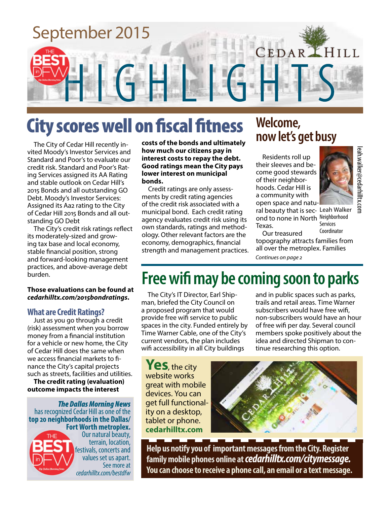

# City scores well on fiscal fitness

The City of Cedar Hill recently invited Moody's Investor Services and Standard and Poor's to evaluate our credit risk. Standard and Poor's Rating Services assigned its AA Rating and stable outlook on Cedar Hill's 2015 Bonds and all outstanding GO Debt. Moody's Investor Services: Assigned its Aa2 rating to the City of Cedar Hill 2015 Bonds and all outstanding GO Debt

The City's credit risk ratings reflect its moderately-sized and growing tax base and local economy, stable financial position, strong and forward-looking management practices, and above-average debt burden.

#### **Those evaluations can be found at**  *cedarhilltx.com/2015bondratings***.**

#### **What are Credit Ratings?**

Just as you go through a credit (risk) assessment when you borrow money from a financial institution for a vehicle or new home, the City of Cedar Hill does the same when we access financial markets to finance the City's capital projects such as streets, facilities and utilities.

**The credit rating (evaluation) outcome impacts the interest** 

*The Dallas Morning News*  has recognized Cedar Hill as one of the **top 20 neighborhoods in the Dallas/**



**Fort Worth metroplex.**  Our natural beauty, terrain, location, festivals, concerts and values set us apart. See more at *cedarhilltx.com/bestdfw*

**costs of the bonds and ultimately how much our citizens pay in interest costs to repay the debt. Good ratings mean the City pays lower interest on municipal bonds.**

Credit ratings are only assessments by credit rating agencies of the credit risk associated with a municipal bond. Each credit rating agency evaluates credit risk using its own standards, ratings and methodology. Other relevant factors are the economy, demographics, financial strength and management practices.

### **Welcome, now let's get busy**

Residents roll up their sleeves and become good stewards of their neighborhoods. Cedar Hill is a community with open space and natu-

ral beauty that is sec- Leah Walker ond to none in North Neighborhood Services Texas.

leah.walker@cedarhilltx.com

leah.walker@cedarhilltx.corr

Coordinator

Our treasured topography attracts families from all over the metroplex. Families *Continues on page 2*

# **Free wifi may be coming soon to parks**

The City's IT Director, Earl Shipman, briefed the City Council on a proposed program that would provide free wifi service to public spaces in the city. Funded entirely by Time Warner Cable, one of the City's current vendors, the plan includes wifi accessibility in all City buildings

and in public spaces such as parks, trails and retail areas. Time Warner subscribers would have free wifi, non-subscribers would have an hour of free wifi per day. Several council members spoke positively about the idea and directed Shipman to continue researching this option.

**Yes**, the city website works great with mobile devices. You can get full functionality on a desktop, tablet or phone. **cedarhilltx.com**



**Help us notify you of important messages from the City. Register family mobile phones online at***cedarhilltx.com/citymessage.* **You can choose to receive a phone call, an email or a text message.**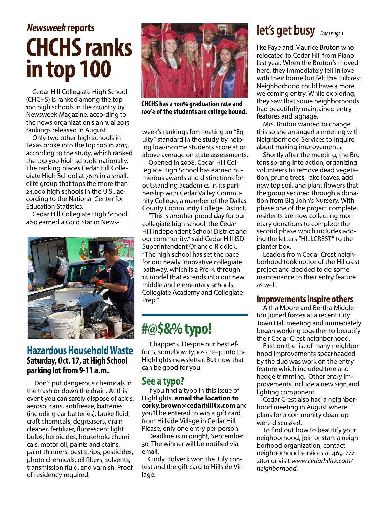# **CHCHS ranks in top 100** *Newsweek* **reports**

Cedar Hill Collegiate High School (CHCHS) is ranked among the top 100 high schools in the country by Newsweek Magazine, according to the news organization's annual 2015 rankings released in August.

Only two other high schools in Texas broke into the top 100 in 2015, according to the study, which ranked the top 500 high schools nationally. The ranking places Cedar Hill Collegiate High School at 76th in a small, elite group that tops the more than 24,000 high schools in the U.S., according to the National Center for Education Statistics.

Cedar Hill Collegiate High School also earned a Gold Star in News-



#### **Hazardous Household Waste Saturday, Oct. 17, at High School parking lot from 9-11 a.m.**

Don't put dangerous chemicals in the trash or down the drain. At this event you can safely dispose of acids, aerosol cans, antifreeze, batteries (including car batteries), brake fluid, craft chemicals, degreasers, drain cleaner, fertilizer, fluorescent light bulbs, herbicides, household chemicals, motor oil, paints and stains, paint thinners, pest strips, pesticides, photo chemicals, oil filters, solvents, transmission fluid, and varnish. Proof of residency required.



**CHCHS has a 100% graduation rate and 100% of the students are college bound.** 

week's rankings for meeting an "Equity" standard in the study by helping low-income students score at or above average on state assessments.

Opened in 2008, Cedar Hill Collegiate High School has earned numerous awards and distinctions for outstanding academics in its partnership with Cedar Valley Community College, a member of the Dallas County Community College District.

"This is another proud day for our collegiate high school, the Cedar Hill Independent School District and our community," said Cedar Hill ISD Superintendent Orlando Riddick. "The high school has set the pace for our newly innovative collegiate pathway, which is a Pre-K through 14 model that extends into our new middle and elementary schools, Collegiate Academy and Collegiate Prep."

### **#@\$&% typo!**

It happens. Despite our best efforts, somehow typos creep into the Highlights newsletter. But now that can be good for you.

#### **See a typo?**

If you find a typo in this issue of Highlights, **email the location to corky.brown@cedarhilltx.com** and you'll be entered to win a gift card from Hillside Village in Cedar Hill. Please, only one entry per person.

Deadline is midnight, September 30. The winner will be notified via email.

Cindy Holveck won the July contest and the gift card to Hillside Village.

### *From page 1* **let's get busy**

like Faye and Maurice Bruton who relocated to Cedar Hill from Plano last year. When the Bruton's moved here, they immediately fell in love with their home but felt the Hillcrest Neighborhood could have a more welcoming entry. While exploring, they saw that some neighborhoods had beautifully maintained entry features and signage.

Mrs. Bruton wanted to change this so she arranged a meeting with Neighborhood Services to inquire about making improvements.

Shortly after the meeting, the Brutons sprang into action; organizing volunteers to remove dead vegetation, prune trees, rake leaves, add new top soil, and plant flowers that the group secured through a donation from Big John's Nursery. With phase one of the project complete, residents are now collecting monetary donations to complete the second phase which includes adding the letters "HILLCREST" to the planter box.

Leaders from Cedar Crest neighborhood took notice of the Hillcrest project and decided to do some maintenance to their entry feature as well.

#### **Improvements inspire others**

Altha Moore and Bertha Middleton joined forces at a recent City Town Hall meeting and immediately began working together to beautify their Cedar Crest neighborhood.

First on the list of many neighborhood improvements spearheaded by the duo was work on the entry feature which included tree and hedge trimming. Other entry improvements include a new sign and lighting component.

Cedar Crest also had a neighborhood meeting in August where plans for a community clean-up were discussed.

To find out how to beautify your neighborhood, join or start a neighborhood organization, contact neighborhood services at 469-272- 2801 or visit *www.cedarhilltx.com/ neighborhood.*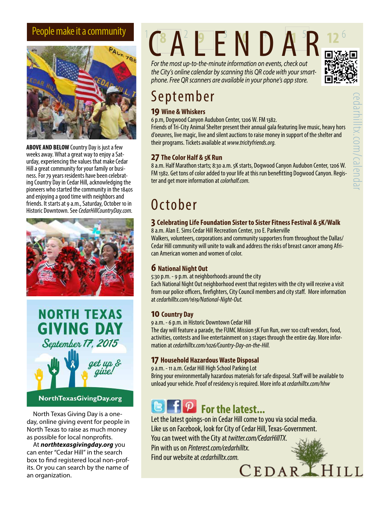

**ABOVE AND BELOW** Country Day is just a few weeks away. What a great way to enjoy a Saturday, experiencing the values that make Cedar<br>Hill a great community for your family or business. For 79 years residents have been celebrat-<br>ing Country Day in Cedar Hill, acknowledging the pioneers who started the community in the 1840s and enjoying a good time with neighbors and friends. It starts at 9 a.m., Saturday, October 10 in Historic Downtown. See *CedarHillCountryDay.com.*





NorthTexasGivingDay.org

day, online giving event for people in North Texas to raise as much money as possible for local nonprofits.

At *northtexasgivingday.org* you can enter "Cedar Hill" in the search box to find registered local non-profits. Or you can search by the name of an organization.

# People make it a community  $C A^2 P E N D A R$

*For the most up-to-the-minute information on events, check out the City's online calendar by scanning this QR code with your smartphone. Free QR scanners are available in your phone's app store.*



# September

#### **19 Wine & Whiskers**

6 p.m, Dogwood Canyon Audubon Center, 1206 W. FM 1382.

Friends of Tri-City Animal Shelter present their annual gala featuring live music, heavy hors d'oeuvres, live magic, live and silent auctions to raise money in support of the shelter and their programs. Tickets available at *www.tricityfriends.org.*

#### **27 The Color Half & 5K Run**

8 a.m. Half Marathon starts; 8:30 a.m. 5K starts, Dogwood Canyon Audubon Center, 1206 W. FM 1382. Get tons of color added to your life at this run benefitting Dogwood Canyon. Register and get more information at *colorhalf.com*.

# **October**

#### **3 Celebrating Life Foundation Sister to Sister Fitness Festival & 5K/Walk**

8 a.m. Alan E. Sims Cedar Hill Recreation Center, 310 E. Parkerville

Walkers, volunteers, corporations and community supporters from throughout the Dallas/ Cedar Hill community will unite to walk and address the risks of breast cancer among African American women and women of color.

#### **6 National Night Out**

5:30 p.m. - 9 p.m. at neighborhoods around the city

Each National Night Out neighborhood event that registers with the city will receive a visit from our police officers, firefighters, City Council members and city staff. More information at *cedarhilltx.com/1619/National-Night-Out.*

#### **10 Country Day**

9 a.m. - 6 p.m. in Historic Downtown Cedar Hill

The day will feature a parade, the FUMC Mission 5K Fun Run, over 100 craft vendors, food, activities, contests and live entertainment on 3 stages through the entire day. More information at *cedarhilltx.com/1026/Country-Day-on-the-Hill.*

#### **17 Household Hazardous Waste Disposal**

9 a.m. - 11 a.m. Cedar Hill High School Parking Lot

Bring your environmentally hazardous materials for safe disposal. Staff will be available to unload your vehicle. Proof of residency is required. More info at *cedarhilltx.com/hhw*

# **For the latest...**<br>North Texas Giving Day is a one-

Let the latest goings-on in Cedar Hill come to you via social media. Like us on Facebook, look for City of Cedar Hill, Texas-Government. You can tweet with the City at *twitter.com/CedarHillTX*. Pin with us on *Pinterest.com/cedarhilltx*.

Find our website at *cedarhilltx.com.*<br>  ${{\bf \small{CEDAR}}}\begin{array}{l} \hspace{-0.1cm}{\bf \small{F}}\end{array}{{\bf H}}$  **I** L L